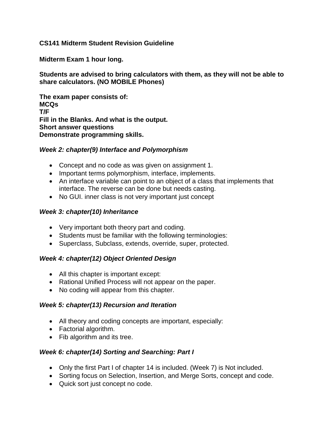## **CS141 Midterm Student Revision Guideline**

**Midterm Exam 1 hour long.**

**Students are advised to bring calculators with them, as they will not be able to share calculators. (NO MOBILE Phones)**

**The exam paper consists of: MCQs T/F Fill in the Blanks. And what is the output. Short answer questions Demonstrate programming skills.**

## *Week 2: chapter(9) Interface and Polymorphism*

- Concept and no code as was given on assignment 1.
- Important terms polymorphism, interface, implements.
- An interface variable can point to an object of a class that implements that interface. The reverse can be done but needs casting.
- No GUI. inner class is not very important just concept

### *Week 3: chapter(10) Inheritance*

- Very important both theory part and coding.
- Students must be familiar with the following terminologies:
- Superclass, Subclass, extends, override, super, protected.

# *Week 4: chapter(12) Object Oriented Design*

- All this chapter is important except:
- Rational Unified Process will not appear on the paper.
- No coding will appear from this chapter.

### *Week 5: chapter(13) Recursion and Iteration*

- All theory and coding concepts are important, especially:
- Factorial algorithm.
- Fib algorithm and its tree.

### *Week 6: chapter(14) Sorting and Searching: Part I*

- Only the first Part I of chapter 14 is included. (Week 7) is Not included.
- Sorting focus on Selection, Insertion, and Merge Sorts, concept and code.
- Quick sort just concept no code.